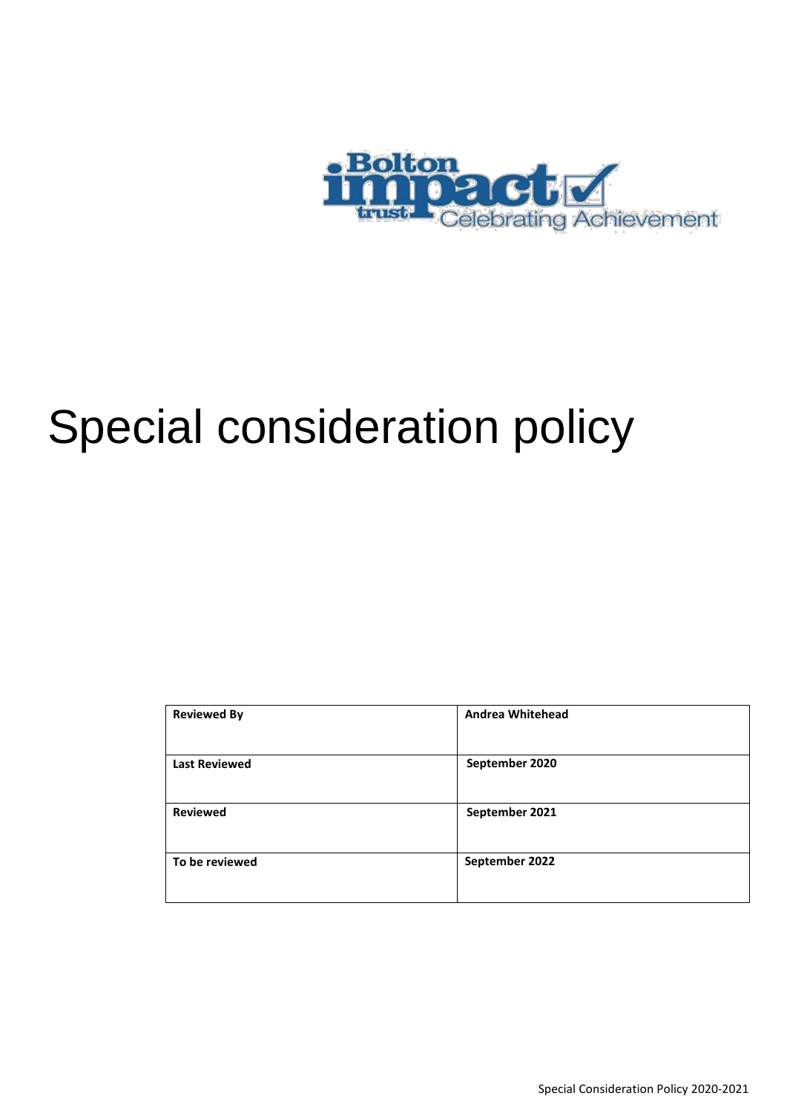

# Special consideration policy

| <b>Reviewed By</b>   | <b>Andrea Whitehead</b> |
|----------------------|-------------------------|
| <b>Last Reviewed</b> | September 2020          |
| <b>Reviewed</b>      | September 2021          |
| To be reviewed       | September 2022          |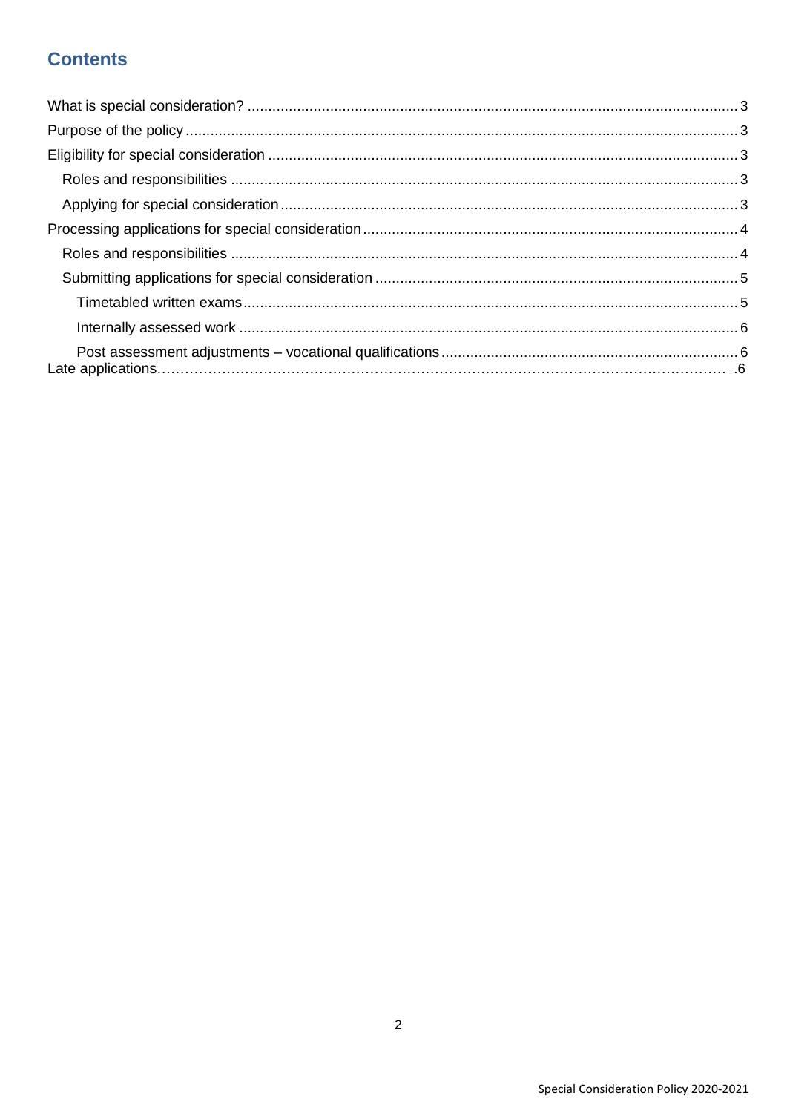# **Contents**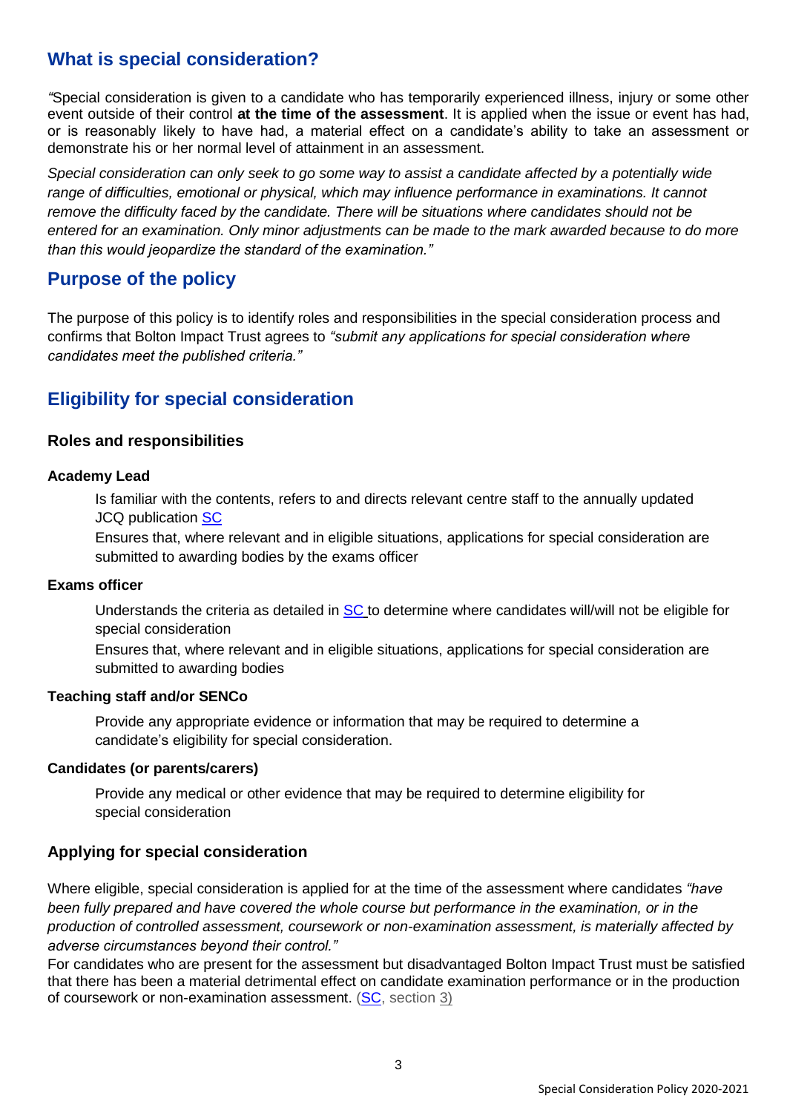# <span id="page-2-0"></span>**What is special consideration?**

*"*Special consideration is given to a candidate who has temporarily experienced illness, injury or some other event outside of their control **at the time of the assessment**. It is applied when the issue or event has had, or is reasonably likely to have had, a material effect on a candidate's ability to take an assessment or demonstrate his or her normal level of attainment in an assessment.

*Special consideration can only seek to go some way to assist a candidate affected by a potentially wide range of difficulties, emotional or physical, which may influence performance in examinations. It cannot remove the difficulty faced by the candidate. There will be situations where candidates should not be entered for an examination. Only minor adjustments can be made to the mark awarded because to do more than this would jeopardize the standard of the examination."*

# **Purpose of the policy**

The purpose of this policy is to identify roles and responsibilities in the special consideration process and confirms that Bolton Impact Trust agrees to *"submit any applications for special consideration where candidates meet the published criteria."*

# **Eligibility for special consideration**

# **Roles and responsibilities**

## **Academy Lead**

Is familiar with the contents, refers to and directs relevant centre staff to the annually updated JCQ publication [SC](http://www.jcq.org.uk/exams-office/access-arrangements-and-special-consideration/regulations-and-guidance)

Ensures that, where relevant and in eligible situations, applications for special consideration are submitted to awarding bodies by the exams officer

## **Exams officer**

Understands the criteria as detailed in [SC](http://www.jcq.org.uk/exams-office/access-arrangements-and-special-consideration/regulations-and-guidance) to determine where candidates will/will not be eligible for special consideration

Ensures that, where relevant and in eligible situations, applications for special consideration are submitted to awarding bodies

## **Teaching staff and/or SENCo**

Provide any appropriate evidence or information that may be required to determine a candidate's eligibility for special consideration.

## **Candidates (or parents/carers)**

Provide any medical or other evidence that may be required to determine eligibility for special consideration

# **Applying for special consideration**

Where eligible, special consideration is applied for at the time of the assessment where candidates *"have been fully prepared and have covered the whole course but performance in the examination, or in the production of controlled assessment, coursework or non-examination assessment, is materially affected by adverse circumstances beyond their control."*

For candidates who are present for the assessment but disadvantaged Bolton Impact Trust must be satisfied that there has been a material detrimental effect on candidate examination performance or in the production of coursework or non-examination assessment. [\(SC,](http://www.jcq.org.uk/exams-office/access-arrangements-and-special-consideration/regulations-and-guidance) section 3)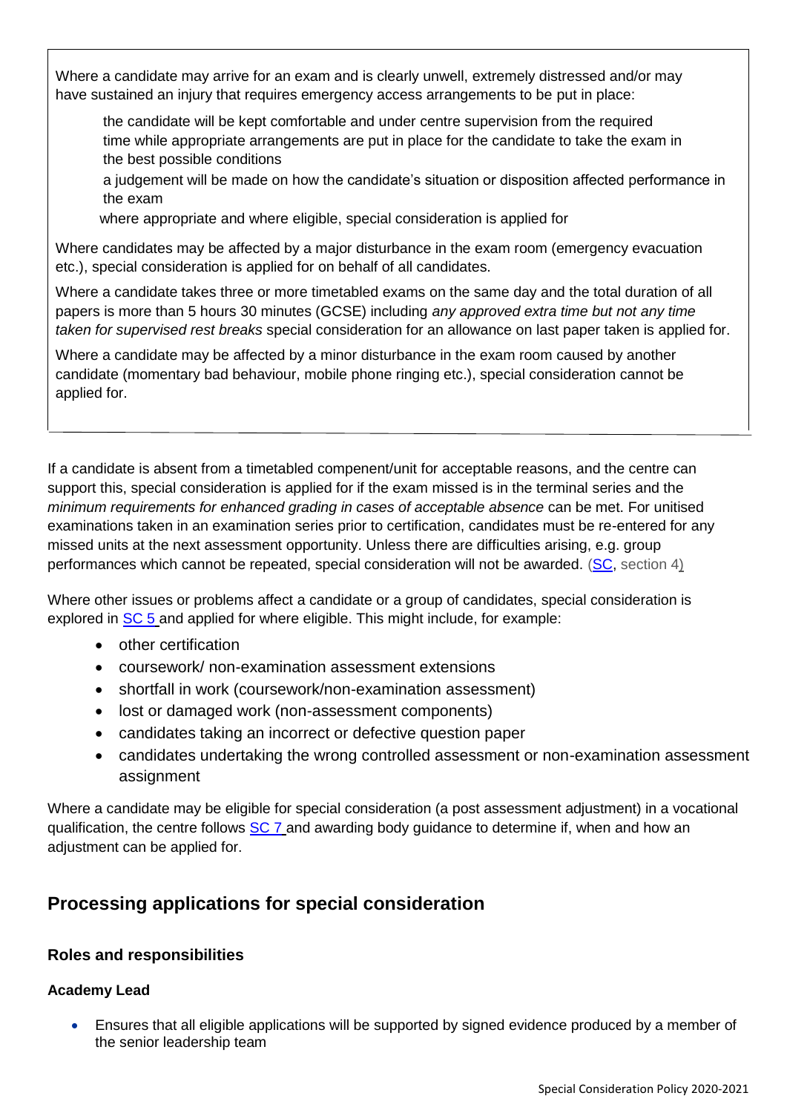<span id="page-3-0"></span>Where a candidate may arrive for an exam and is clearly unwell, extremely distressed and/or may have sustained an injury that requires emergency access arrangements to be put in place:

the candidate will be kept comfortable and under centre supervision from the required time while appropriate arrangements are put in place for the candidate to take the exam in the best possible conditions

a judgement will be made on how the candidate's situation or disposition affected performance in the exam

where appropriate and where eligible, special consideration is applied for

Where candidates may be affected by a major disturbance in the exam room (emergency evacuation etc.), special consideration is applied for on behalf of all candidates.

Where a candidate takes three or more timetabled exams on the same day and the total duration of all papers is more than 5 hours 30 minutes (GCSE) including *any approved extra time but not any time taken for supervised rest breaks* special consideration for an allowance on last paper taken is applied for.

Where a candidate may be affected by a minor disturbance in the exam room caused by another candidate (momentary bad behaviour, mobile phone ringing etc.), special consideration cannot be applied for.

If a candidate is absent from a timetabled compenent/unit for acceptable reasons, and the centre can support this, special consideration is applied for if the exam missed is in the terminal series and the *minimum requirements for enhanced grading in cases of acceptable absence* can be met. For unitised examinations taken in an examination series prior to certification, candidates must be re-entered for any missed units at the next assessment opportunity. Unless there are difficulties arising, e.g. group performances which cannot be repeated, special consideration will not be awarded. [\(SC,](http://www.jcq.org.uk/exams-office/access-arrangements-and-special-consideration/regulations-and-guidance) section 4)

Where other issues or problems affect a candidate or a group of candidates, special consideration is explored in [SC 5](http://www.jcq.org.uk/exams-office/access-arrangements-and-special-consideration) and applied for where eligible. This might include, for example:

- other certification
- coursework/ non-examination assessment extensions
- shortfall in work (coursework/non-examination assessment)
- lost or damaged work (non-assessment components)
- candidates taking an incorrect or defective question paper
- candidates undertaking the wrong controlled assessment or non-examination assessment assignment

Where a candidate may be eligible for special consideration (a post assessment adjustment) in a vocational qualification, the centre follows [SC 7](http://www.jcq.org.uk/exams-office/access-arrangements-and-special-consideration) and awarding body guidance to determine if, when and how an adjustment can be applied for.

# **Processing applications for special consideration**

# **Roles and responsibilities**

# **Academy Lead**

 Ensures that all eligible applications will be supported by signed evidence produced by a member of the senior leadership team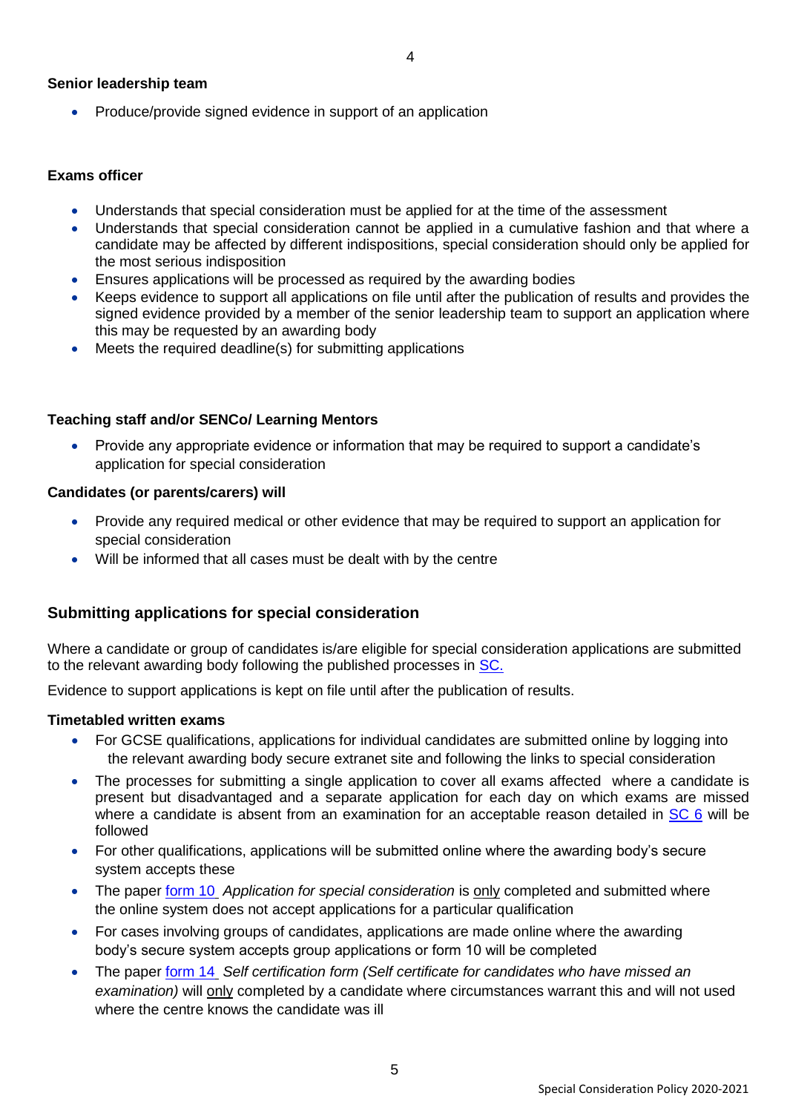## **Senior leadership team**

• Produce/provide signed evidence in support of an application

#### **Exams officer**

- Understands that special consideration must be applied for at the time of the assessment
- Understands that special consideration cannot be applied in a cumulative fashion and that where a candidate may be affected by different indispositions, special consideration should only be applied for the most serious indisposition
- Ensures applications will be processed as required by the awarding bodies
- Keeps evidence to support all applications on file until after the publication of results and provides the signed evidence provided by a member of the senior leadership team to support an application where this may be requested by an awarding body
- Meets the required deadline(s) for submitting applications

## **Teaching staff and/or SENCo/ Learning Mentors**

• Provide any appropriate evidence or information that may be required to support a candidate's application for special consideration

#### **Candidates (or parents/carers) will**

- Provide any required medical or other evidence that may be required to support an application for special consideration
- Will be informed that all cases must be dealt with by the centre

# **Submitting applications for special consideration**

Where a candidate or group of candidates is/are eligible for special consideration applications are submitted to the relevant awarding body following the published processes in [SC.](http://www.jcq.org.uk/exams-office/access-arrangements-and-special-consideration)

Evidence to support applications is kept on file until after the publication of results.

#### **Timetabled written exams**

- For GCSE qualifications, applications for individual candidates are submitted online by logging into the relevant awarding body secure extranet site and following the links to special consideration
- The processes for submitting a single application to cover all exams affected where a candidate is present but disadvantaged and a separate application for each day on which exams are missed where a candidate is absent from an examination for an acceptable reason detailed in [SC 6](http://www.jcq.org.uk/exams-office/access-arrangements-and-special-consideration) will be followed
- For other qualifications, applications will be submitted online where the awarding body's secure system accepts these
- The paper [form 10](http://www.jcq.org.uk/exams-office/access-arrangements-and-special-consideration/forms) *Application for special consideration* is only completed and submitted where the online system does not accept applications for a particular qualification
- For cases involving groups of candidates, applications are made online where the awarding body's secure system accepts group applications or form 10 will be completed
- The paper [form 14](http://www.jcq.org.uk/exams-office/access-arrangements-and-special-consideration/forms) *Self certification form (Self certificate for candidates who have missed an examination)* will only completed by a candidate where circumstances warrant this and will not used where the centre knows the candidate was ill